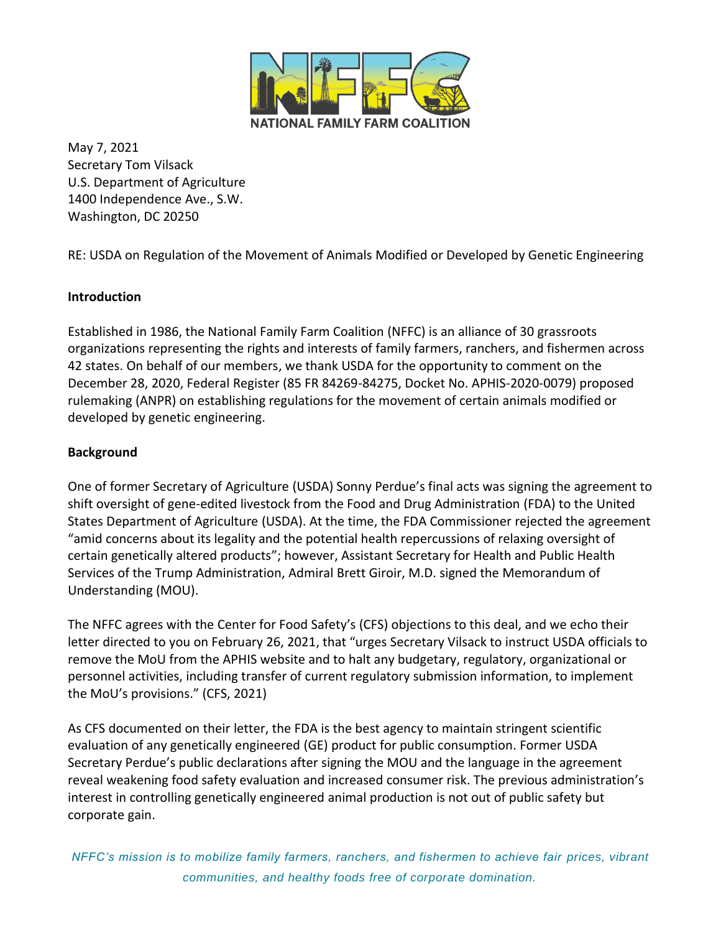

May 7, 2021 Secretary Tom Vilsack U.S. Department of Agriculture 1400 Independence Ave., S.W. Washington, DC 20250

RE: USDA on Regulation of the Movement of Animals Modified or Developed by Genetic Engineering

## **Introduction**

Established in 1986, the National Family Farm Coalition (NFFC) is an alliance of 30 grassroots organizations representing the rights and interests of family farmers, ranchers, and fishermen across 42 states. On behalf of our members, we thank USDA for the opportunity to comment on the December 28, 2020, Federal Register (85 FR 84269-84275, Docket No. APHIS-2020-0079) proposed rulemaking (ANPR) on establishing regulations for the movement of certain animals modified or developed by genetic engineering.

## **Background**

One of former Secretary of Agriculture (USDA) Sonny Perdue's final acts was signing the agreement to shift oversight of gene-edited livestock from the Food and Drug Administration (FDA) to the United States Department of Agriculture (USDA). At the time, the FDA Commissioner rejected the agreement "amid concerns about its legality and the potential health repercussions of relaxing oversight of certain genetically altered products"; however, Assistant Secretary for Health and Public Health Services of the Trump Administration, Admiral Brett Giroir, M.D. signed the Memorandum of Understanding (MOU).

The NFFC agrees with the Center for Food Safety's (CFS) objections to this deal, and we echo their letter directed to you on February 26, 2021, that "urges Secretary Vilsack to instruct USDA officials to remove the MoU from the APHIS website and to halt any budgetary, regulatory, organizational or personnel activities, including transfer of current regulatory submission information, to implement the MoU's provisions." (CFS, 2021)

As CFS documented on their letter, the FDA is the best agency to maintain stringent scientific evaluation of any genetically engineered (GE) product for public consumption. Former USDA Secretary Perdue's public declarations after signing the MOU and the language in the agreement reveal weakening food safety evaluation and increased consumer risk. The previous administration's interest in controlling genetically engineered animal production is not out of public safety but corporate gain.

*NFFC's mission is to mobilize family farmers, ranchers, and fishermen to achieve fair prices, vibrant communities, and healthy foods free of corporate domination.*